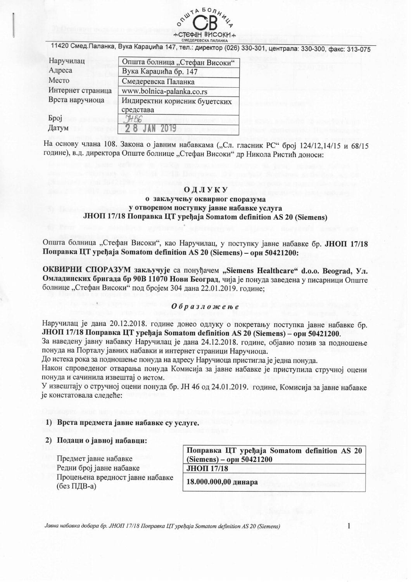

11420 Смед. Паланка, Вука Караџића 147, тел.: директор (026) 330-301, централа: 330-300, факс: 313-075

| Наручилац         | Општа болница "Стефан Високи"              |  |  |
|-------------------|--------------------------------------------|--|--|
| Адреса            | Вука Караџића бр. 147                      |  |  |
| Место             | Смедеревска Паланка                        |  |  |
| Интернет страница | www.bolnica-palanka.co.rs                  |  |  |
| Врста наручиоца   | Индиректни корисник буџетских<br>средстава |  |  |
| <b>Spoj</b>       |                                            |  |  |
| Датум             |                                            |  |  |

На основу члана 108. Закона о јавним набавкама ("Сл. гласник РС" број 124/12,14/15 и 68/15 године), в.д. директора Опште болнице "Стефан Високи" др Никола Ристић доноси:

#### ОДЛУКУ

## о закључењу оквирног споразума у отвореном поступку јавне набавке услуга JHOП 17/18 Поправка ЦТ уређаја Somatom definition AS 20 (Siemens)

Општа болница "Стефан Високи", као Наручилац, у поступку јавне набавке бр. ЈНОП 17/18 Поправка ЦТ уређаја Somatom definition AS 20 (Siemens) – орн 50421200:

ОКВИРНИ СПОРАЗУМ закључује са понуђачем "Siemens Healthcare" d.o.o. Beograd, Ул. Омладинских бригада бр 90В 11070 Нови Београд, чија је понуда заведена у писарници Опште болнице "Стефан Високи" под бројем 304 дана 22.01.2019. године:

## Образложење

Наручилац је дана 20.12.2018. године донео одлуку о покретању поступка јавне набавке бр. JHOП 17/18 Поправка ЦТ уређаја Somatom definition AS 20 (Siemens) – орн 50421200.

За наведену јавну набавку Наручилац је дана 24.12.2018. године, објавио позив за подношење понуда на Порталу јавних набавки и интернет страници Наручиоца.

До истека рока за подношење понуда на адресу Наручиоца пристигла је једна понуда.

Након спроведеног отварања понуда Комисија за јавне набавке је приступила стручној оцени понуда и сачинила извештај о истом.

У извештају о стручној оцени понуда бр. ЈН 46 од 24.01.2019. године, Комисија за јавне набавке је констатовала следеће:

# 1) Врста предмета јавне набавке су услуге.

#### 2) Подаци о јавној набавци:

Предмет јавне набавке Редни број јавне набавке Процењена вредност јавне набавке (без ПДВ-а)

Поправка ЦТ уређаја Somatom definition AS 20 (Siemens) – орн 50421200 **ЈНОП 17/18** 

18.000.000.00 линара